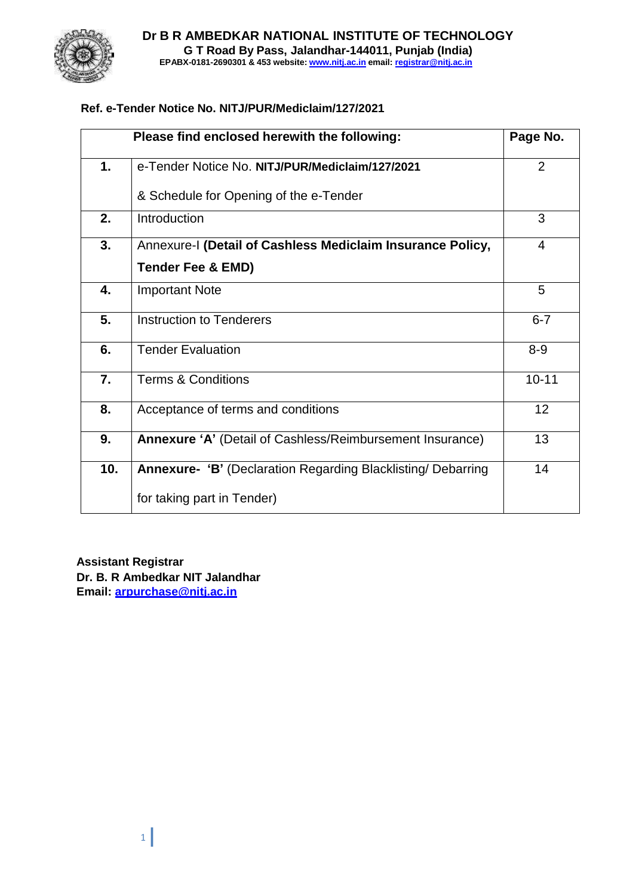

### **Ref. e-Tender Notice No. NITJ/PUR/Mediclaim/127/2021**

|     | Please find enclosed herewith the following:                        | Page No.  |
|-----|---------------------------------------------------------------------|-----------|
| 1.  | e-Tender Notice No. NITJ/PUR/Mediclaim/127/2021                     | 2         |
|     | & Schedule for Opening of the e-Tender                              |           |
| 2.  | Introduction                                                        | 3         |
| 3.  | Annexure-I (Detail of Cashless Mediclaim Insurance Policy,          | 4         |
|     | <b>Tender Fee &amp; EMD)</b>                                        |           |
| 4.  | <b>Important Note</b>                                               | 5         |
| 5.  | <b>Instruction to Tenderers</b>                                     | $6 - 7$   |
| 6.  | <b>Tender Evaluation</b>                                            | $8 - 9$   |
| 7.  | <b>Terms &amp; Conditions</b>                                       | $10 - 11$ |
| 8.  | Acceptance of terms and conditions                                  | 12        |
| 9.  | Annexure 'A' (Detail of Cashless/Reimbursement Insurance)           | 13        |
| 10. | <b>Annexure- 'B' (Declaration Regarding Blacklisting/ Debarring</b> | 14        |
|     | for taking part in Tender)                                          |           |

**Assistant Registrar Dr. B. R Ambedkar NIT Jalandhar Email: [arpurchase@nitj.ac.in](mailto:arpurchase@nitj.ac.in)**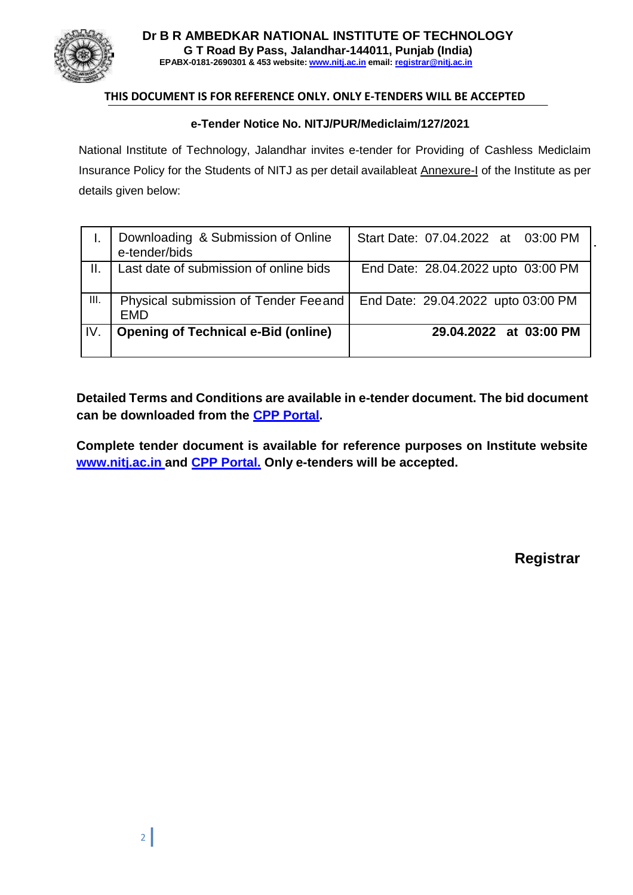

#### **THIS DOCUMENT IS FOR REFERENCE ONLY. ONLY E-TENDERS WILL BE ACCEPTED**

#### **e-Tender Notice No. NITJ/PUR/Mediclaim/127/2021**

National Institute of Technology, Jalandhar invites e-tender for Providing of Cashless Mediclaim Insurance Policy for the Students of NITJ as per detail availableat Annexure-I of the Institute as per details given below:

|     | Downloading & Submission of Online<br>e-tender/bids  | Start Date: 07.04.2022 at 03:00 PM |
|-----|------------------------------------------------------|------------------------------------|
|     | Last date of submission of online bids               | End Date: 28.04.2022 upto 03:00 PM |
| Ш.  | Physical submission of Tender Feeand  <br><b>EMD</b> | End Date: 29.04.2022 upto 03:00 PM |
| IV. | <b>Opening of Technical e-Bid (online)</b>           | 29.04.2022 at 03:00 PM             |

**Detailed Terms and Conditions are available in e-tender document. The bid document can be downloaded from the CPP Portal.**

**Complete tender document is available for reference purposes on Institute website [www.nitj.ac.in](http://www.nitj.ac.in/) and CPP Portal. Only e-tenders will be accepted.**

**Registrar**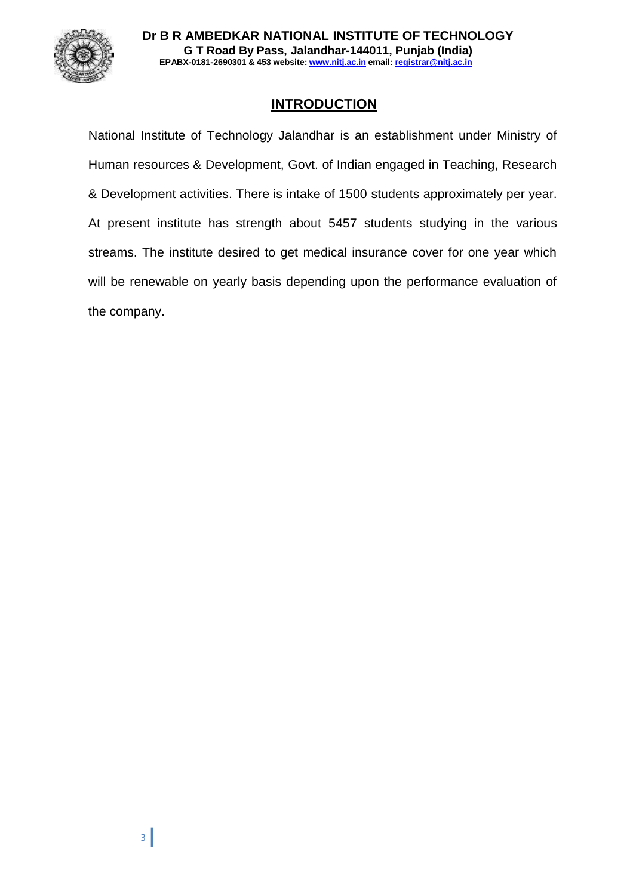

# **INTRODUCTION**

National Institute of Technology Jalandhar is an establishment under Ministry of Human resources & Development, Govt. of Indian engaged in Teaching, Research & Development activities. There is intake of 1500 students approximately per year. At present institute has strength about 5457 students studying in the various streams. The institute desired to get medical insurance cover for one year which will be renewable on yearly basis depending upon the performance evaluation of the company.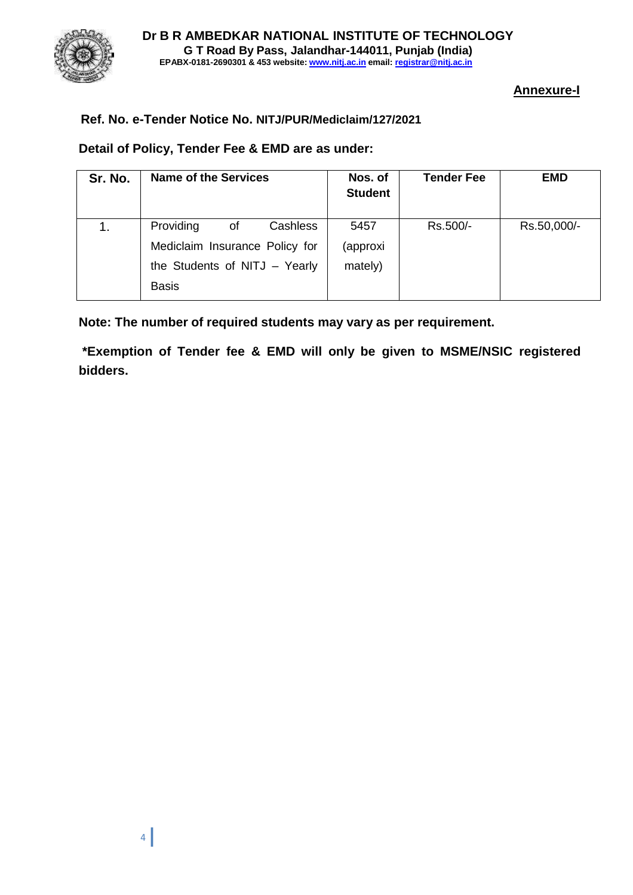

### **Annexure-I**

### **Ref. No. e-Tender Notice No. NITJ/PUR/Mediclaim/127/2021**

#### **Detail of Policy, Tender Fee & EMD are as under:**

| Sr. No. | <b>Name of the Services</b>    | Nos. of<br><b>Student</b> | <b>Tender Fee</b> | <b>EMD</b>  |
|---------|--------------------------------|---------------------------|-------------------|-------------|
|         | Providing<br>Cashless<br>οf    | 5457                      | Rs.500/-          | Rs.50,000/- |
|         | Mediclaim Insurance Policy for | (approxi                  |                   |             |
|         | the Students of NITJ - Yearly  | mately)                   |                   |             |
|         | <b>Basis</b>                   |                           |                   |             |

**Note: The number of required students may vary as per requirement.**

**\*Exemption of Tender fee & EMD will only be given to MSME/NSIC registered bidders.**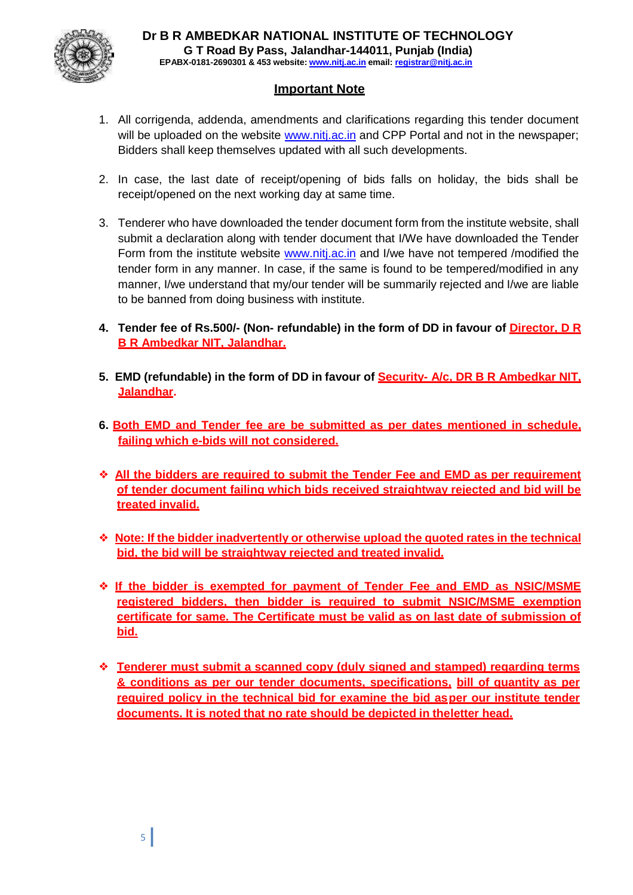

# **Important Note**

- 1. All corrigenda, addenda, amendments and clarifications regarding this tender document will be uploaded on the website [www.nitj.ac.in](http://www.nitj.ac.in/) and CPP Portal and not in the newspaper; Bidders shall keep themselves updated with all such developments.
- 2. In case, the last date of receipt/opening of bids falls on holiday, the bids shall be receipt/opened on the next working day at same time.
- 3. Tenderer who have downloaded the tender document form from the institute website, shall submit a declaration along with tender document that I/We have downloaded the Tender Form from the institute website [www.nitj.ac.in](http://www.nitj.ac.in/) and I/we have not tempered /modified the tender form in any manner. In case, if the same is found to be tempered/modified in any manner, I/we understand that my/our tender will be summarily rejected and I/we are liable to be banned from doing business with institute.
- **4. Tender fee of Rs.500/- (Non- refundable) in the form of DD in favour of Director, D R B R Ambedkar NIT, Jalandhar.**
- **5. EMD (refundable) in the form of DD in favour of Security- A/c, DR B R Ambedkar NIT, Jalandhar.**
- **6. Both EMD and Tender fee are be submitted as per dates mentioned in schedule, failing which e-bids will not considered.**
- ❖ **All the bidders are required to submit the Tender Fee and EMD as per requirement of tender document failing which bids received straightway rejected and bid will be treated invalid.**
- ❖ **Note: If the bidder inadvertently or otherwise upload the quoted rates in the technical bid, the bid will be straightway rejected and treated invalid.**
- ❖ **If the bidder is exempted for payment of Tender Fee and EMD as NSIC/MSME registered bidders, then bidder is required to submit NSIC/MSME exemption certificate for same. The Certificate must be valid as on last date of submission of bid.**
- ❖ **Tenderer must submit a scanned copy (duly signed and stamped) regarding terms & conditions as per our tender documents, specifications, bill of quantity as per required policy in the technical bid for examine the bid asper our institute tender documents. It is noted that no rate should be depicted in theletter head.**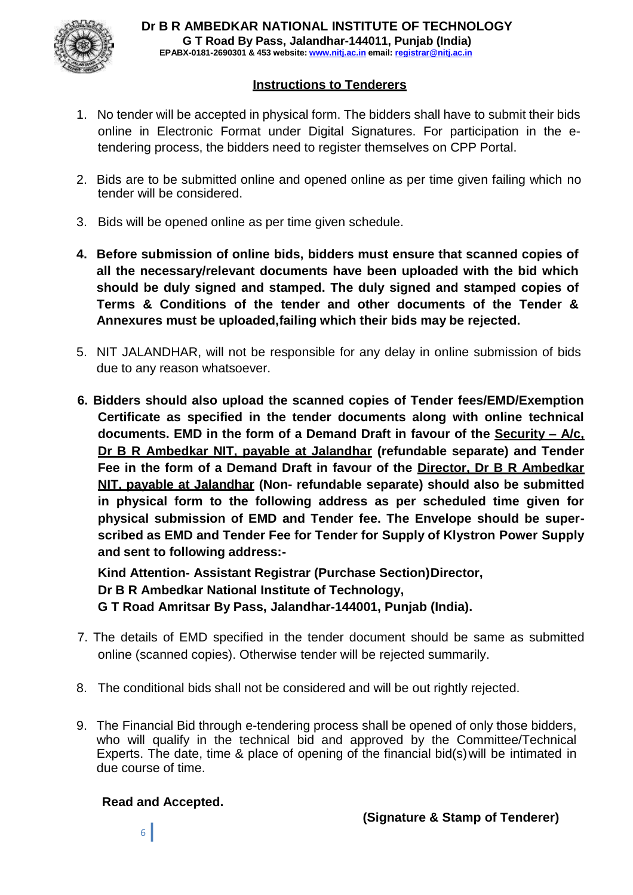

# **Instructions to Tenderers**

- 1. No tender will be accepted in physical form. The bidders shall have to submit their bids online in Electronic Format under Digital Signatures. For participation in the etendering process, the bidders need to register themselves on CPP Portal.
- 2. Bids are to be submitted online and opened online as per time given failing which no tender will be considered.
- 3. Bids will be opened online as per time given schedule.
- **4. Before submission of online bids, bidders must ensure that scanned copies of all the necessary/relevant documents have been uploaded with the bid which should be duly signed and stamped. The duly signed and stamped copies of Terms & Conditions of the tender and other documents of the Tender & Annexures must be uploaded,failing which their bids may be rejected.**
- 5. NIT JALANDHAR, will not be responsible for any delay in online submission of bids due to any reason whatsoever.
- **6. Bidders should also upload the scanned copies of Tender fees/EMD/Exemption Certificate as specified in the tender documents along with online technical documents. EMD in the form of a Demand Draft in favour of the Security – A/c, Dr B R Ambedkar NIT, payable at Jalandhar (refundable separate) and Tender Fee in the form of a Demand Draft in favour of the Director, Dr B R Ambedkar NIT, payable at Jalandhar (Non- refundable separate) should also be submitted in physical form to the following address as per scheduled time given for physical submission of EMD and Tender fee. The Envelope should be superscribed as EMD and Tender Fee for Tender for Supply of Klystron Power Supply and sent to following address:-**

**Kind Attention- Assistant Registrar (Purchase Section) Director, Dr B R Ambedkar National Institute of Technology, G T Road Amritsar By Pass, Jalandhar-144001, Punjab (India).**

- 7. The details of EMD specified in the tender document should be same as submitted online (scanned copies). Otherwise tender will be rejected summarily.
- 8. The conditional bids shall not be considered and will be out rightly rejected.
- 9. The Financial Bid through e-tendering process shall be opened of only those bidders, who will qualify in the technical bid and approved by the Committee/Technical Experts. The date, time & place of opening of the financial bid(s)will be intimated in due course of time.

#### **Read and Accepted.**

**(Signature & Stamp of Tenderer)**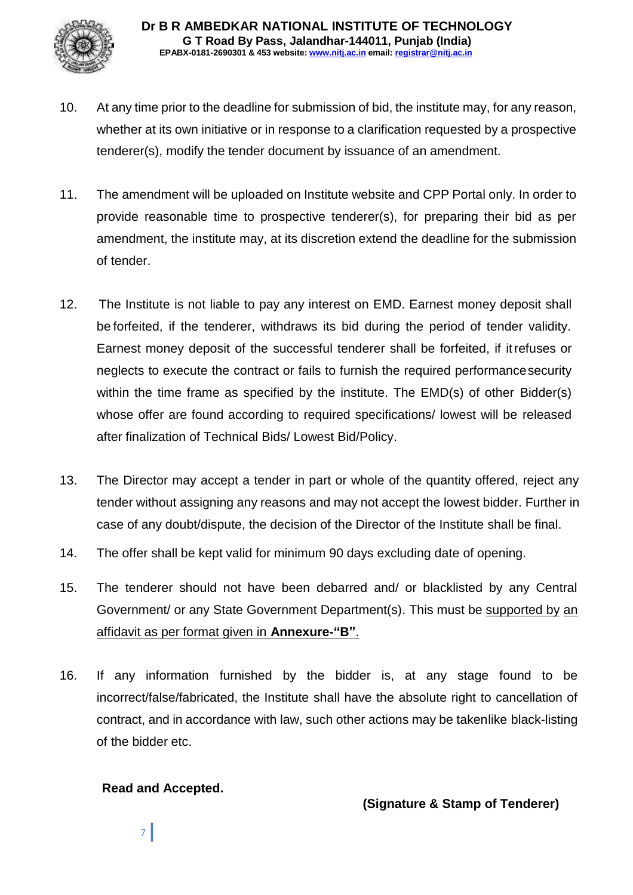

- 10. At any time prior to the deadline for submission of bid, the institute may, for any reason, whether at its own initiative or in response to a clarification requested by a prospective tenderer(s), modify the tender document by issuance of an amendment.
- 11. The amendment will be uploaded on Institute website and CPP Portal only. In order to provide reasonable time to prospective tenderer(s), for preparing their bid as per amendment, the institute may, at its discretion extend the deadline for the submission of tender.
- 12. The Institute is not liable to pay any interest on EMD. Earnest money deposit shall be forfeited, if the tenderer, withdraws its bid during the period of tender validity. Earnest money deposit of the successful tenderer shall be forfeited, if itrefuses or neglects to execute the contract or fails to furnish the required performancesecurity within the time frame as specified by the institute. The EMD(s) of other Bidder(s) whose offer are found according to required specifications/ lowest will be released after finalization of Technical Bids/ Lowest Bid/Policy.
- 13. The Director may accept a tender in part or whole of the quantity offered, reject any tender without assigning any reasons and may not accept the lowest bidder. Further in case of any doubt/dispute, the decision of the Director of the Institute shall be final.
- 14. The offer shall be kept valid for minimum 90 days excluding date of opening.
- 15. The tenderer should not have been debarred and/ or blacklisted by any Central Government/ or any State Government Department(s). This must be supported by an affidavit as per format given in **Annexure-"B"**.
- 16. If any information furnished by the bidder is, at any stage found to be incorrect/false/fabricated, the Institute shall have the absolute right to cancellation of contract, and in accordance with law, such other actions may be takenlike black-listing of the bidder etc.

# **Read and Accepted.**

**(Signature & Stamp of Tenderer)**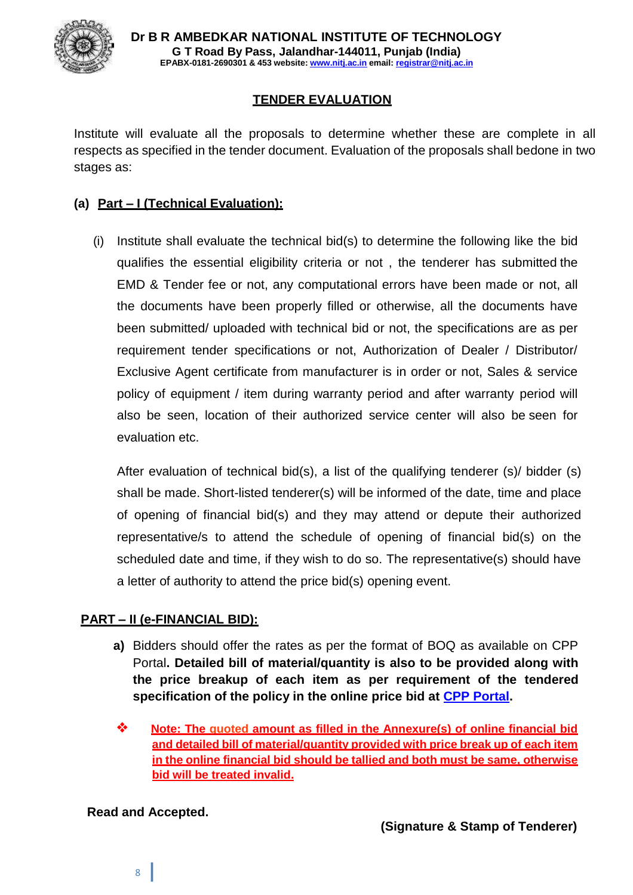

# **TENDER EVALUATION**

Institute will evaluate all the proposals to determine whether these are complete in all respects as specified in the tender document. Evaluation of the proposals shall bedone in two stages as:

## **(a) Part – I (Technical Evaluation):**

(i) Institute shall evaluate the technical bid(s) to determine the following like the bid qualifies the essential eligibility criteria or not , the tenderer has submitted the EMD & Tender fee or not, any computational errors have been made or not, all the documents have been properly filled or otherwise, all the documents have been submitted/ uploaded with technical bid or not, the specifications are as per requirement tender specifications or not, Authorization of Dealer / Distributor/ Exclusive Agent certificate from manufacturer is in order or not, Sales & service policy of equipment / item during warranty period and after warranty period will also be seen, location of their authorized service center will also be seen for evaluation etc.

After evaluation of technical bid(s), a list of the qualifying tenderer (s)/ bidder (s) shall be made. Short-listed tenderer(s) will be informed of the date, time and place of opening of financial bid(s) and they may attend or depute their authorized representative/s to attend the schedule of opening of financial bid(s) on the scheduled date and time, if they wish to do so. The representative(s) should have a letter of authority to attend the price bid(s) opening event.

# **PART – II (e-FINANCIAL BID):**

- **a)** Bidders should offer the rates as per the format of BOQ as available on CPP Portal**. Detailed bill of material/quantity is also to be provided along with the price breakup of each item as per requirement of the tendered specification of the policy in the online price bid at CPP Portal.**
- ❖ **Note: The quoted amount as filled in the Annexure(s) of online financial bid and detailed bill of material/quantity provided with price break up of each item in the online financial bid should be tallied and both must be same, otherwise bid will be treated invalid.**

#### **Read and Accepted.**

8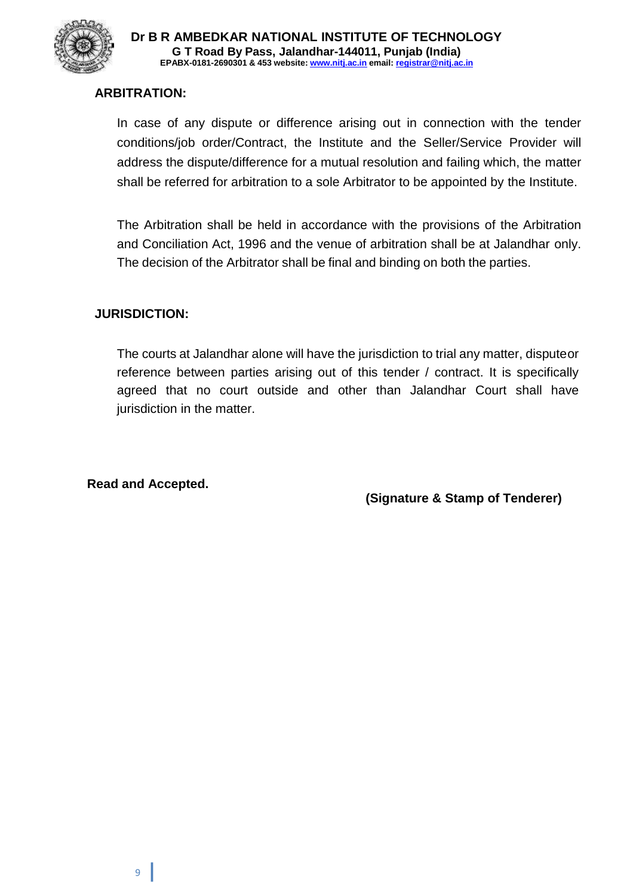

### **ARBITRATION:**

In case of any dispute or difference arising out in connection with the tender conditions/job order/Contract, the Institute and the Seller/Service Provider will address the dispute/difference for a mutual resolution and failing which, the matter shall be referred for arbitration to a sole Arbitrator to be appointed by the Institute.

The Arbitration shall be held in accordance with the provisions of the Arbitration and Conciliation Act, 1996 and the venue of arbitration shall be at Jalandhar only. The decision of the Arbitrator shall be final and binding on both the parties.

### **JURISDICTION:**

The courts at Jalandhar alone will have the jurisdiction to trial any matter, disputeor reference between parties arising out of this tender / contract. It is specifically agreed that no court outside and other than Jalandhar Court shall have jurisdiction in the matter.

**Read and Accepted.**

**(Signature & Stamp of Tenderer)**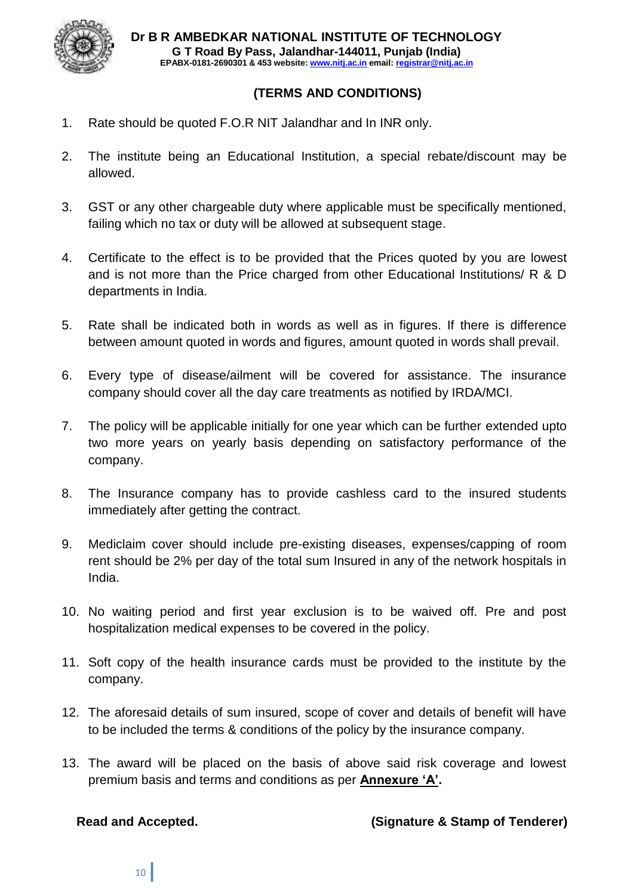

# **(TERMS AND CONDITIONS)**

- 1. Rate should be quoted F.O.R NIT Jalandhar and In INR only.
- 2. The institute being an Educational Institution, a special rebate/discount may be allowed.
- 3. GST or any other chargeable duty where applicable must be specifically mentioned, failing which no tax or duty will be allowed at subsequent stage.
- 4. Certificate to the effect is to be provided that the Prices quoted by you are lowest and is not more than the Price charged from other Educational Institutions/ R & D departments in India.
- 5. Rate shall be indicated both in words as well as in figures. If there is difference between amount quoted in words and figures, amount quoted in words shall prevail.
- 6. Every type of disease/ailment will be covered for assistance. The insurance company should cover all the day care treatments as notified by IRDA/MCI.
- 7. The policy will be applicable initially for one year which can be further extended upto two more years on yearly basis depending on satisfactory performance of the company.
- 8. The Insurance company has to provide cashless card to the insured students immediately after getting the contract.
- 9. Mediclaim cover should include pre-existing diseases, expenses/capping of room rent should be 2% per day of the total sum Insured in any of the network hospitals in India.
- 10. No waiting period and first year exclusion is to be waived off. Pre and post hospitalization medical expenses to be covered in the policy.
- 11. Soft copy of the health insurance cards must be provided to the institute by the company.
- 12. The aforesaid details of sum insured, scope of cover and details of benefit will have to be included the terms & conditions of the policy by the insurance company.
- 13. The award will be placed on the basis of above said risk coverage and lowest premium basis and terms and conditions as per **Annexure "A".**

#### **Read and Accepted. (Signature & Stamp of Tenderer)**

10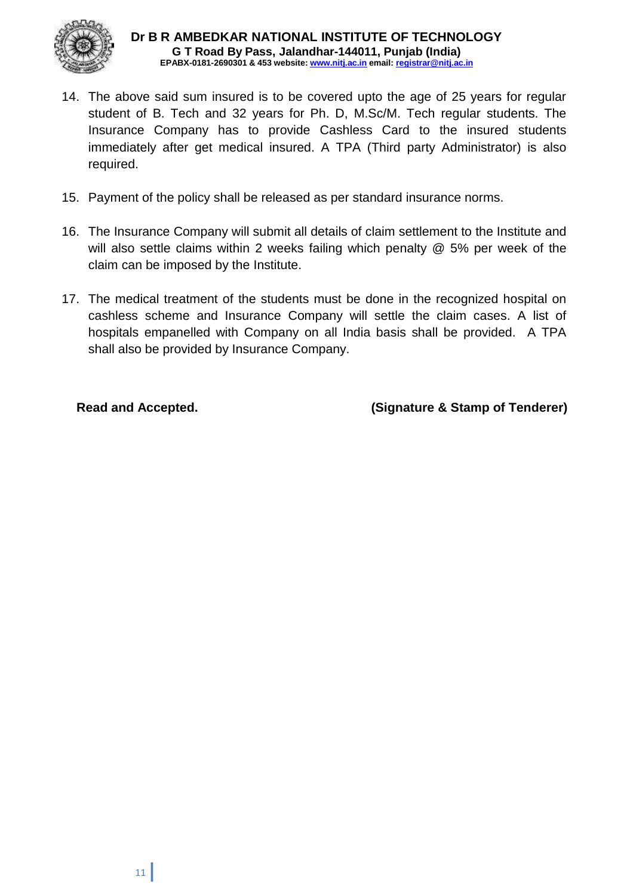

- 14. The above said sum insured is to be covered upto the age of 25 years for regular student of B. Tech and 32 years for Ph. D, M.Sc/M. Tech regular students. The Insurance Company has to provide Cashless Card to the insured students immediately after get medical insured. A TPA (Third party Administrator) is also required.
- 15. Payment of the policy shall be released as per standard insurance norms.
- 16. The Insurance Company will submit all details of claim settlement to the Institute and will also settle claims within 2 weeks failing which penalty @ 5% per week of the claim can be imposed by the Institute.
- 17. The medical treatment of the students must be done in the recognized hospital on cashless scheme and Insurance Company will settle the claim cases. A list of hospitals empanelled with Company on all India basis shall be provided. A TPA shall also be provided by Insurance Company.

**Read and Accepted. (Signature & Stamp of Tenderer)**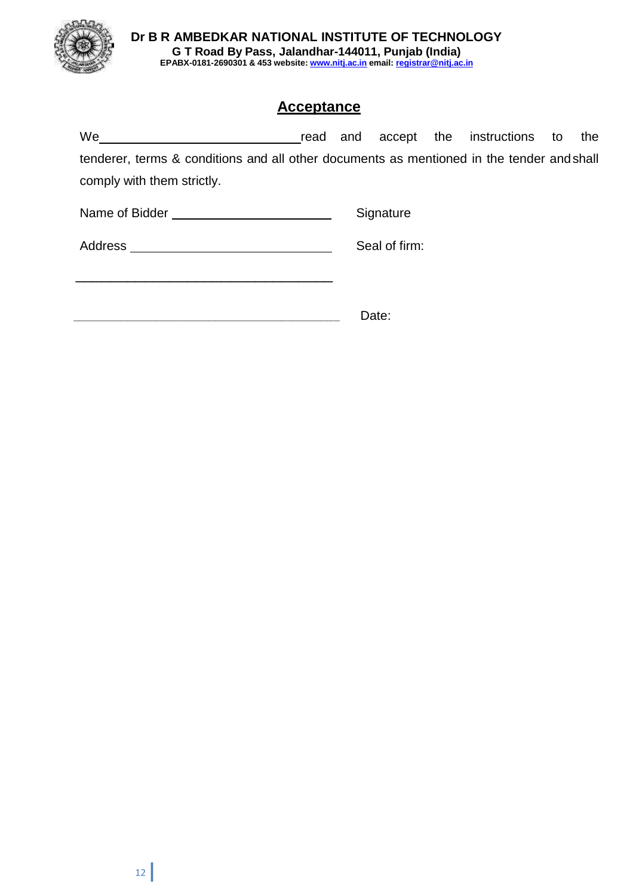

**Dr B R AMBEDKAR NATIONAL INSTITUTE OF TECHNOLOGY G T Road By Pass, Jalandhar-144011, Punjab (India) EPABX-0181-2690301 & 453 website: www.nitj.ac.in email: registrar@nitj.ac.in**

# **Acceptance**

| We                                                                                        | read and |  |               |  | accept the instructions to |  | the |  |
|-------------------------------------------------------------------------------------------|----------|--|---------------|--|----------------------------|--|-----|--|
| tenderer, terms & conditions and all other documents as mentioned in the tender and shall |          |  |               |  |                            |  |     |  |
| comply with them strictly.                                                                |          |  |               |  |                            |  |     |  |
| Name of Bidder                                                                            |          |  | Signature     |  |                            |  |     |  |
| Address                                                                                   |          |  | Seal of firm: |  |                            |  |     |  |

**\_\_\_\_\_\_\_\_\_\_\_\_\_\_\_\_\_\_\_\_\_\_\_\_\_\_\_\_\_\_\_\_\_\_\_\_\_\_\_\_\_\_\_\_\_** Date:

 $\frac{1}{\sqrt{2}}$  ,  $\frac{1}{\sqrt{2}}$  ,  $\frac{1}{\sqrt{2}}$  ,  $\frac{1}{\sqrt{2}}$  ,  $\frac{1}{\sqrt{2}}$  ,  $\frac{1}{\sqrt{2}}$  ,  $\frac{1}{\sqrt{2}}$  ,  $\frac{1}{\sqrt{2}}$  ,  $\frac{1}{\sqrt{2}}$  ,  $\frac{1}{\sqrt{2}}$  ,  $\frac{1}{\sqrt{2}}$  ,  $\frac{1}{\sqrt{2}}$  ,  $\frac{1}{\sqrt{2}}$  ,  $\frac{1}{\sqrt{2}}$  ,  $\frac{1}{\sqrt{2}}$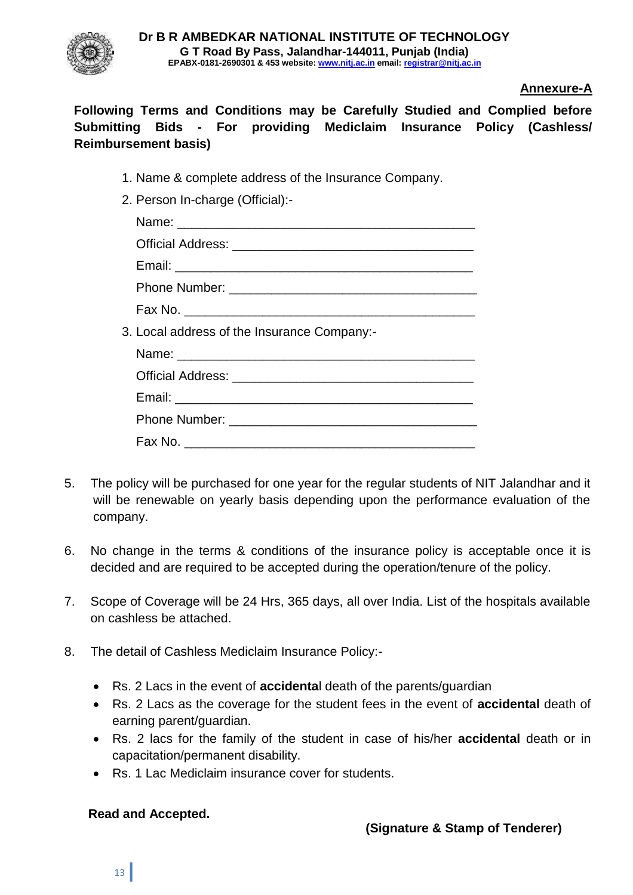

# **Annexure-A**

**Following Terms and Conditions may be Carefully Studied and Complied before Submitting Bids - For providing Mediclaim Insurance Policy (Cashless/ Reimbursement basis)**

- 1. Name & complete address of the Insurance Company.
- 2. Person In-charge (Official):-

| 3. Local address of the Insurance Company:- |
|---------------------------------------------|
|                                             |
|                                             |
|                                             |
|                                             |
|                                             |

- 5. The policy will be purchased for one year for the regular students of NIT Jalandhar and it will be renewable on yearly basis depending upon the performance evaluation of the company.
- 6. No change in the terms & conditions of the insurance policy is acceptable once it is decided and are required to be accepted during the operation/tenure of the policy.
- 7. Scope of Coverage will be 24 Hrs, 365 days, all over India. List of the hospitals available on cashless be attached.
- 8. The detail of Cashless Mediclaim Insurance Policy:-
	- Rs. 2 Lacs in the event of **accidenta**l death of the parents/guardian
	- Rs. 2 Lacs as the coverage for the student fees in the event of **accidental** death of earning parent/guardian.
	- Rs. 2 lacs for the family of the student in case of his/her **accidental** death or in capacitation/permanent disability.
	- Rs. 1 Lac Mediclaim insurance cover for students.

# **Read and Accepted.**

# **(Signature & Stamp of Tenderer)**

13